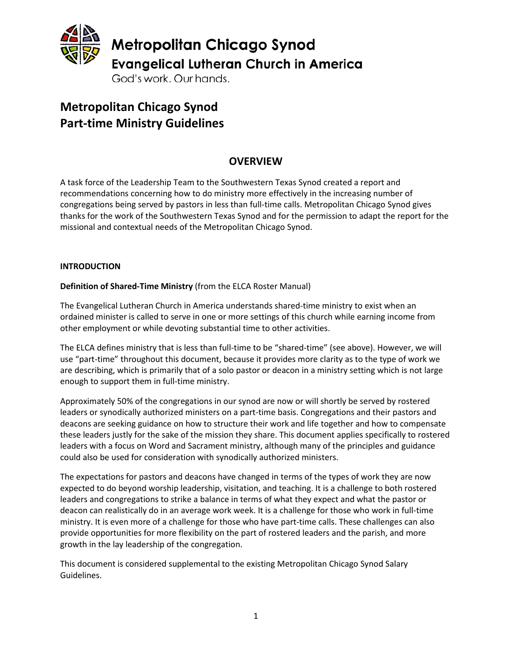

**Metropolitan Chicago Synod Part-time Ministry Guidelines**

# **OVERVIEW**

A task force of the Leadership Team to the Southwestern Texas Synod created a report and recommendations concerning how to do ministry more effectively in the increasing number of congregations being served by pastors in less than full-time calls. Metropolitan Chicago Synod gives thanks for the work of the Southwestern Texas Synod and for the permission to adapt the report for the missional and contextual needs of the Metropolitan Chicago Synod.

#### **INTRODUCTION**

**Definition of Shared-Time Ministry** (from the ELCA Roster Manual)

The Evangelical Lutheran Church in America understands shared-time ministry to exist when an ordained minister is called to serve in one or more settings of this church while earning income from other employment or while devoting substantial time to other activities.

The ELCA defines ministry that is less than full-time to be "shared-time" (see above). However, we will use "part-time" throughout this document, because it provides more clarity as to the type of work we are describing, which is primarily that of a solo pastor or deacon in a ministry setting which is not large enough to support them in full-time ministry.

Approximately 50% of the congregations in our synod are now or will shortly be served by rostered leaders or synodically authorized ministers on a part-time basis. Congregations and their pastors and deacons are seeking guidance on how to structure their work and life together and how to compensate these leaders justly for the sake of the mission they share. This document applies specifically to rostered leaders with a focus on Word and Sacrament ministry, although many of the principles and guidance could also be used for consideration with synodically authorized ministers.

The expectations for pastors and deacons have changed in terms of the types of work they are now expected to do beyond worship leadership, visitation, and teaching. It is a challenge to both rostered leaders and congregations to strike a balance in terms of what they expect and what the pastor or deacon can realistically do in an average work week. It is a challenge for those who work in full-time ministry. It is even more of a challenge for those who have part-time calls. These challenges can also provide opportunities for more flexibility on the part of rostered leaders and the parish, and more growth in the lay leadership of the congregation.

This document is considered supplemental to the existing Metropolitan Chicago Synod Salary Guidelines.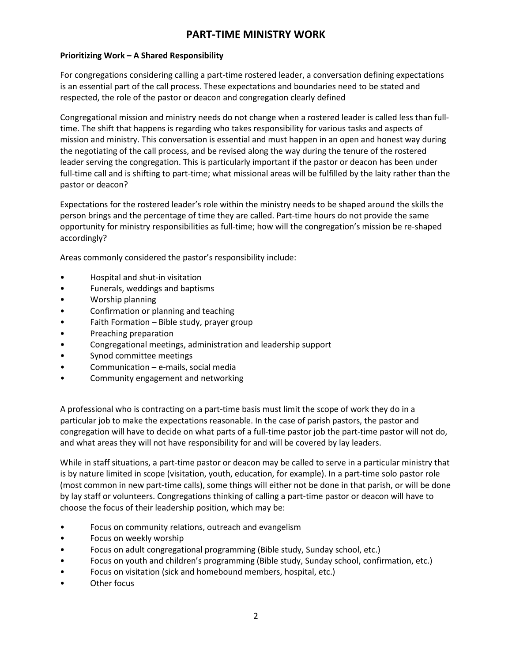# **PART-TIME MINISTRY WORK**

#### **Prioritizing Work – A Shared Responsibility**

For congregations considering calling a part-time rostered leader, a conversation defining expectations is an essential part of the call process. These expectations and boundaries need to be stated and respected, the role of the pastor or deacon and congregation clearly defined

Congregational mission and ministry needs do not change when a rostered leader is called less than fulltime. The shift that happens is regarding who takes responsibility for various tasks and aspects of mission and ministry. This conversation is essential and must happen in an open and honest way during the negotiating of the call process, and be revised along the way during the tenure of the rostered leader serving the congregation. This is particularly important if the pastor or deacon has been under full-time call and is shifting to part-time; what missional areas will be fulfilled by the laity rather than the pastor or deacon?

Expectations for the rostered leader's role within the ministry needs to be shaped around the skills the person brings and the percentage of time they are called. Part-time hours do not provide the same opportunity for ministry responsibilities as full-time; how will the congregation's mission be re-shaped accordingly?

Areas commonly considered the pastor's responsibility include:

- Hospital and shut-in visitation
- Funerals, weddings and baptisms
- Worship planning
- Confirmation or planning and teaching
- Faith Formation Bible study, prayer group
- Preaching preparation
- Congregational meetings, administration and leadership support
- Synod committee meetings
- Communication e-mails, social media
- Community engagement and networking

A professional who is contracting on a part-time basis must limit the scope of work they do in a particular job to make the expectations reasonable. In the case of parish pastors, the pastor and congregation will have to decide on what parts of a full-time pastor job the part-time pastor will not do, and what areas they will not have responsibility for and will be covered by lay leaders.

While in staff situations, a part-time pastor or deacon may be called to serve in a particular ministry that is by nature limited in scope (visitation, youth, education, for example). In a part-time solo pastor role (most common in new part-time calls), some things will either not be done in that parish, or will be done by lay staff or volunteers. Congregations thinking of calling a part-time pastor or deacon will have to choose the focus of their leadership position, which may be:

- Focus on community relations, outreach and evangelism
- Focus on weekly worship
- Focus on adult congregational programming (Bible study, Sunday school, etc.)
- Focus on youth and children's programming (Bible study, Sunday school, confirmation, etc.)
- Focus on visitation (sick and homebound members, hospital, etc.)
- Other focus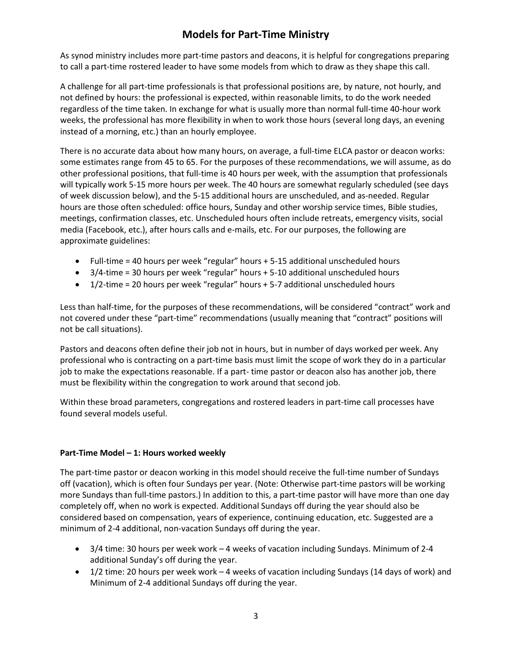# **Models for Part-Time Ministry**

As synod ministry includes more part-time pastors and deacons, it is helpful for congregations preparing to call a part-time rostered leader to have some models from which to draw as they shape this call.

A challenge for all part-time professionals is that professional positions are, by nature, not hourly, and not defined by hours: the professional is expected, within reasonable limits, to do the work needed regardless of the time taken. In exchange for what is usually more than normal full-time 40-hour work weeks, the professional has more flexibility in when to work those hours (several long days, an evening instead of a morning, etc.) than an hourly employee.

There is no accurate data about how many hours, on average, a full-time ELCA pastor or deacon works: some estimates range from 45 to 65. For the purposes of these recommendations, we will assume, as do other professional positions, that full-time is 40 hours per week, with the assumption that professionals will typically work 5-15 more hours per week. The 40 hours are somewhat regularly scheduled (see days of week discussion below), and the 5-15 additional hours are unscheduled, and as-needed. Regular hours are those often scheduled: office hours, Sunday and other worship service times, Bible studies, meetings, confirmation classes, etc. Unscheduled hours often include retreats, emergency visits, social media (Facebook, etc.), after hours calls and e-mails, etc. For our purposes, the following are approximate guidelines:

- Full-time = 40 hours per week "regular" hours + 5-15 additional unscheduled hours
- 3/4-time = 30 hours per week "regular" hours + 5-10 additional unscheduled hours
- 1/2-time = 20 hours per week "regular" hours + 5-7 additional unscheduled hours

Less than half-time, for the purposes of these recommendations, will be considered "contract" work and not covered under these "part-time" recommendations (usually meaning that "contract" positions will not be call situations).

Pastors and deacons often define their job not in hours, but in number of days worked per week. Any professional who is contracting on a part-time basis must limit the scope of work they do in a particular job to make the expectations reasonable. If a part- time pastor or deacon also has another job, there must be flexibility within the congregation to work around that second job.

Within these broad parameters, congregations and rostered leaders in part-time call processes have found several models useful.

## **Part-Time Model – 1: Hours worked weekly**

The part-time pastor or deacon working in this model should receive the full-time number of Sundays off (vacation), which is often four Sundays per year. (Note: Otherwise part-time pastors will be working more Sundays than full-time pastors.) In addition to this, a part-time pastor will have more than one day completely off, when no work is expected. Additional Sundays off during the year should also be considered based on compensation, years of experience, continuing education, etc. Suggested are a minimum of 2-4 additional, non-vacation Sundays off during the year.

- 3/4 time: 30 hours per week work 4 weeks of vacation including Sundays. Minimum of 2-4 additional Sunday's off during the year.
- 1/2 time: 20 hours per week work 4 weeks of vacation including Sundays (14 days of work) and Minimum of 2-4 additional Sundays off during the year.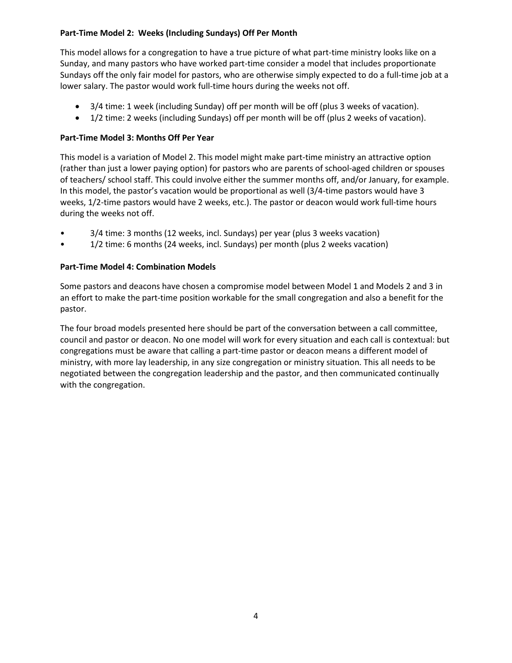## **Part-Time Model 2: Weeks (Including Sundays) Off Per Month**

This model allows for a congregation to have a true picture of what part-time ministry looks like on a Sunday, and many pastors who have worked part-time consider a model that includes proportionate Sundays off the only fair model for pastors, who are otherwise simply expected to do a full-time job at a lower salary. The pastor would work full-time hours during the weeks not off.

- 3/4 time: 1 week (including Sunday) off per month will be off (plus 3 weeks of vacation).
- 1/2 time: 2 weeks (including Sundays) off per month will be off (plus 2 weeks of vacation).

### **Part-Time Model 3: Months Off Per Year**

This model is a variation of Model 2. This model might make part-time ministry an attractive option (rather than just a lower paying option) for pastors who are parents of school-aged children or spouses of teachers/ school staff. This could involve either the summer months off, and/or January, for example. In this model, the pastor's vacation would be proportional as well (3/4-time pastors would have 3 weeks, 1/2-time pastors would have 2 weeks, etc.). The pastor or deacon would work full-time hours during the weeks not off.

- 3/4 time: 3 months (12 weeks, incl. Sundays) per year (plus 3 weeks vacation)
- 1/2 time: 6 months (24 weeks, incl. Sundays) per month (plus 2 weeks vacation)

## **Part-Time Model 4: Combination Models**

Some pastors and deacons have chosen a compromise model between Model 1 and Models 2 and 3 in an effort to make the part-time position workable for the small congregation and also a benefit for the pastor.

The four broad models presented here should be part of the conversation between a call committee, council and pastor or deacon. No one model will work for every situation and each call is contextual: but congregations must be aware that calling a part-time pastor or deacon means a different model of ministry, with more lay leadership, in any size congregation or ministry situation. This all needs to be negotiated between the congregation leadership and the pastor, and then communicated continually with the congregation.